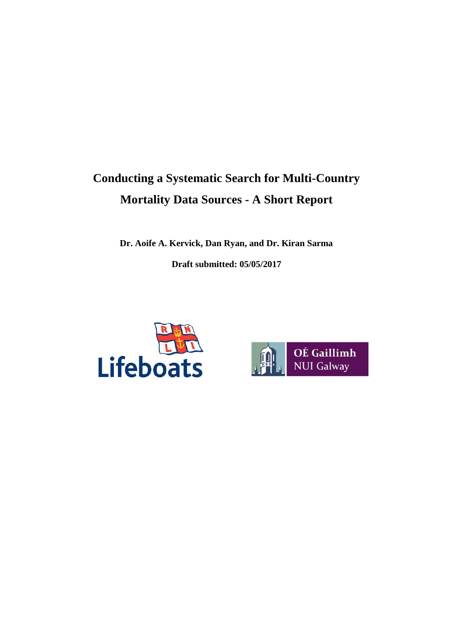# **Conducting a Systematic Search for Multi-Country Mortality Data Sources - A Short Report**

**Dr. Aoife A. Kervick, Dan Ryan, and Dr. Kiran Sarma Draft submitted: 05/05/2017**



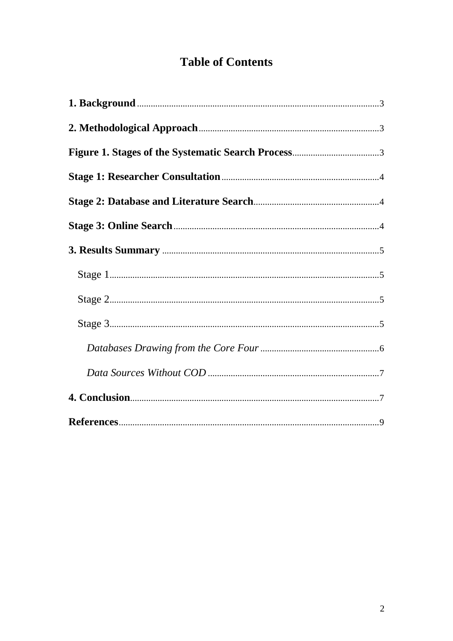## **Table of Contents**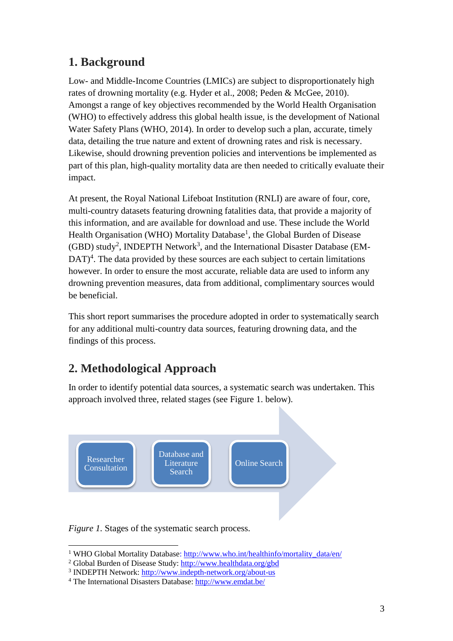## **1. Background**

Low- and Middle-Income Countries (LMICs) are subject to disproportionately high rates of drowning mortality (e.g. Hyder et al., 2008; Peden & McGee, 2010). Amongst a range of key objectives recommended by the World Health Organisation (WHO) to effectively address this global health issue, is the development of National Water Safety Plans (WHO, 2014). In order to develop such a plan, accurate, timely data, detailing the true nature and extent of drowning rates and risk is necessary. Likewise, should drowning prevention policies and interventions be implemented as part of this plan, high-quality mortality data are then needed to critically evaluate their impact.

At present, the Royal National Lifeboat Institution (RNLI) are aware of four, core, multi-country datasets featuring drowning fatalities data, that provide a majority of this information, and are available for download and use. These include the World Health Organisation (WHO) Mortality Database<sup>1</sup>, the Global Burden of Disease (GBD) study<sup>2</sup>, INDEPTH Network<sup>3</sup>, and the International Disaster Database (EM-DAT<sup>4</sup>. The data provided by these sources are each subject to certain limitations however. In order to ensure the most accurate, reliable data are used to inform any drowning prevention measures, data from additional, complimentary sources would be beneficial.

This short report summarises the procedure adopted in order to systematically search for any additional multi-country data sources, featuring drowning data, and the findings of this process.

## **2. Methodological Approach**

In order to identify potential data sources, a systematic search was undertaken. This approach involved three, related stages (see Figure 1. below).



*Figure 1.* Stages of the systematic search process.

 $\overline{\phantom{a}}$ <sup>1</sup> WHO Global Mortality Database: http://www.who.int/healthinfo/mortality\_data/en/

<sup>2</sup> Global Burden of Disease Study: <http://www.healthdata.org/gbd>

<sup>&</sup>lt;sup>3</sup> INDEPTH Network:<http://www.indepth-network.org/about-us>

<sup>4</sup> The International Disasters Database[: http://www.emdat.be/](http://www.emdat.be/)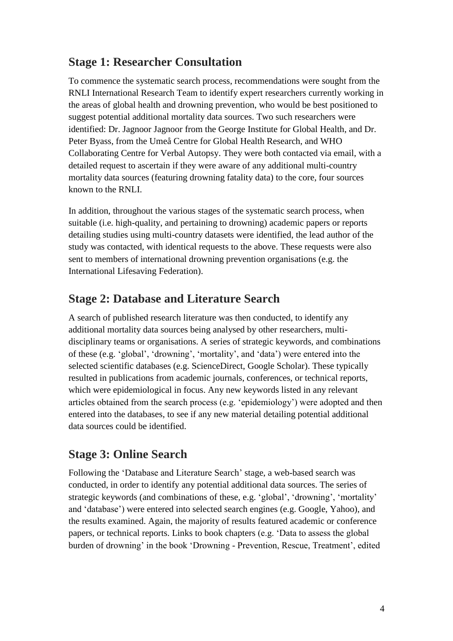## **Stage 1: Researcher Consultation**

To commence the systematic search process, recommendations were sought from the RNLI International Research Team to identify expert researchers currently working in the areas of global health and drowning prevention, who would be best positioned to suggest potential additional mortality data sources. Two such researchers were identified: Dr. Jagnoor Jagnoor from the George Institute for Global Health, and Dr. Peter Byass, from the Umeå Centre for Global Health Research, and WHO Collaborating Centre for Verbal Autopsy. They were both contacted via email, with a detailed request to ascertain if they were aware of any additional multi-country mortality data sources (featuring drowning fatality data) to the core, four sources known to the RNLI.

In addition, throughout the various stages of the systematic search process, when suitable (i.e. high-quality, and pertaining to drowning) academic papers or reports detailing studies using multi-country datasets were identified, the lead author of the study was contacted, with identical requests to the above. These requests were also sent to members of international drowning prevention organisations (e.g. the International Lifesaving Federation).

### **Stage 2: Database and Literature Search**

A search of published research literature was then conducted, to identify any additional mortality data sources being analysed by other researchers, multidisciplinary teams or organisations. A series of strategic keywords, and combinations of these (e.g. 'global', 'drowning', 'mortality', and 'data') were entered into the selected scientific databases (e.g. ScienceDirect, Google Scholar). These typically resulted in publications from academic journals, conferences, or technical reports, which were epidemiological in focus. Any new keywords listed in any relevant articles obtained from the search process (e.g. 'epidemiology') were adopted and then entered into the databases, to see if any new material detailing potential additional data sources could be identified.

### **Stage 3: Online Search**

Following the 'Database and Literature Search' stage, a web-based search was conducted, in order to identify any potential additional data sources. The series of strategic keywords (and combinations of these, e.g. 'global', 'drowning', 'mortality' and 'database') were entered into selected search engines (e.g. Google, Yahoo), and the results examined. Again, the majority of results featured academic or conference papers, or technical reports. Links to book chapters (e.g. 'Data to assess the global burden of drowning' in the book 'Drowning - Prevention, Rescue, Treatment', edited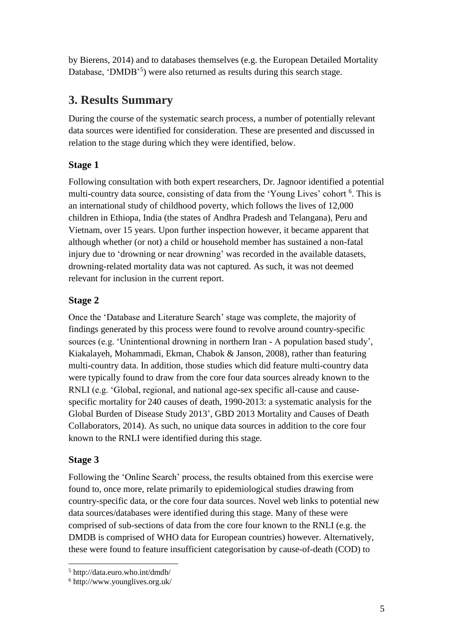by Bierens, 2014) and to databases themselves (e.g. the European Detailed Mortality Database, 'DMDB<sup>'5</sup>) were also returned as results during this search stage.

## **3. Results Summary**

During the course of the systematic search process, a number of potentially relevant data sources were identified for consideration. These are presented and discussed in relation to the stage during which they were identified, below.

#### **Stage 1**

Following consultation with both expert researchers, Dr. Jagnoor identified a potential multi-country data source, consisting of data from the 'Young Lives' cohort <sup>6</sup>. This is an international study of childhood poverty, which follows the lives of 12,000 children in Ethiopa, India (the states of Andhra Pradesh and Telangana), Peru and Vietnam, over 15 years. Upon further inspection however, it became apparent that although whether (or not) a child or household member has sustained a non-fatal injury due to 'drowning or near drowning' was recorded in the available datasets, drowning-related mortality data was not captured. As such, it was not deemed relevant for inclusion in the current report.

#### **Stage 2**

Once the 'Database and Literature Search' stage was complete, the majority of findings generated by this process were found to revolve around country-specific sources (e.g. 'Unintentional drowning in northern Iran - A population based study', Kiakalayeh, Mohammadi, Ekman, Chabok & Janson, 2008), rather than featuring multi-country data. In addition, those studies which did feature multi-country data were typically found to draw from the core four data sources already known to the RNLI (e.g. 'Global, regional, and national age-sex specific all-cause and causespecific mortality for 240 causes of death, 1990-2013: a systematic analysis for the Global Burden of Disease Study 2013', GBD 2013 Mortality and Causes of Death Collaborators, 2014). As such, no unique data sources in addition to the core four known to the RNLI were identified during this stage.

#### **Stage 3**

Following the 'Online Search' process, the results obtained from this exercise were found to, once more, relate primarily to epidemiological studies drawing from country-specific data, or the core four data sources. Novel web links to potential new data sources/databases were identified during this stage. Many of these were comprised of sub-sections of data from the core four known to the RNLI (e.g. the DMDB is comprised of WHO data for European countries) however. Alternatively, these were found to feature insufficient categorisation by cause-of-death (COD) to

 $\overline{\phantom{a}}$ <sup>5</sup> http://data.euro.who.int/dmdb/

<sup>6</sup> http://www.younglives.org.uk/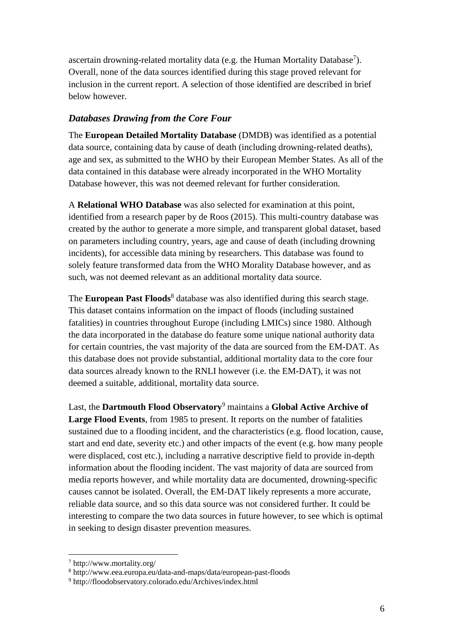ascertain drowning-related mortality data (e.g. the Human Mortality Database<sup>7</sup>). Overall, none of the data sources identified during this stage proved relevant for inclusion in the current report. A selection of those identified are described in brief below however.

#### *Databases Drawing from the Core Four*

The **European Detailed Mortality Database** (DMDB) was identified as a potential data source, containing data by cause of death (including drowning-related deaths), age and sex, as submitted to the WHO by their European Member States. As all of the data contained in this database were already incorporated in the WHO Mortality Database however, this was not deemed relevant for further consideration.

A **Relational WHO Database** was also selected for examination at this point, identified from a research paper by de Roos (2015). This multi-country database was created by the author to generate a more simple, and transparent global dataset, based on parameters including country, years, age and cause of death (including drowning incidents), for accessible data mining by researchers. This database was found to solely feature transformed data from the WHO Morality Database however, and as such, was not deemed relevant as an additional mortality data source.

The **European Past Floods**<sup>8</sup> database was also identified during this search stage. This dataset contains information on the impact of floods (including sustained fatalities) in countries throughout Europe (including LMICs) since 1980. Although the data incorporated in the database do feature some unique national authority data for certain countries, the vast majority of the data are sourced from the EM-DAT. As this database does not provide substantial, additional mortality data to the core four data sources already known to the RNLI however (i.e. the EM-DAT), it was not deemed a suitable, additional, mortality data source.

Last, the **Dartmouth Flood Observatory**<sup>9</sup> maintains a **Global Active Archive of Large Flood Events**, from 1985 to present. It reports on the number of fatalities sustained due to a flooding incident, and the characteristics (e.g. flood location, cause, start and end date, severity etc.) and other impacts of the event (e.g. how many people were displaced, cost etc.), including a narrative descriptive field to provide in-depth information about the flooding incident. The vast majority of data are sourced from media reports however, and while mortality data are documented, drowning-specific causes cannot be isolated. Overall, the EM-DAT likely represents a more accurate, reliable data source, and so this data source was not considered further. It could be interesting to compare the two data sources in future however, to see which is optimal in seeking to design disaster prevention measures.

 $\overline{\phantom{a}}$ 

<sup>7</sup> http://www.mortality.org/

<sup>8</sup> http://www.eea.europa.eu/data-and-maps/data/european-past-floods

<sup>9</sup> http://floodobservatory.colorado.edu/Archives/index.html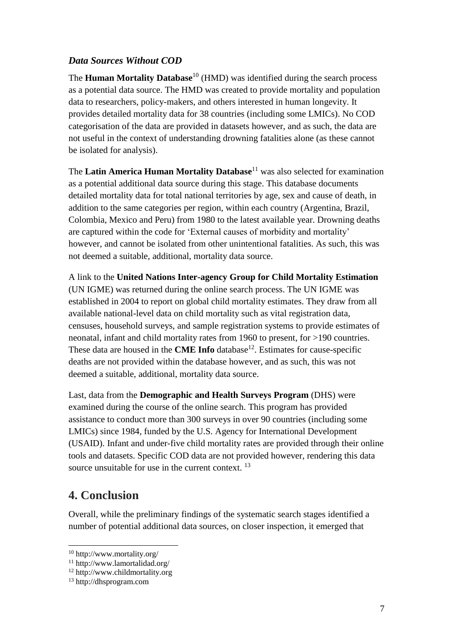#### *Data Sources Without COD*

The **Human Mortality Database**<sup>10</sup> (HMD) was identified during the search process as a potential data source. The HMD was created to provide mortality and population data to researchers, policy-makers, and others interested in human longevity. It provides detailed mortality data for 38 countries (including some LMICs). No COD categorisation of the data are provided in datasets however, and as such, the data are not useful in the context of understanding drowning fatalities alone (as these cannot be isolated for analysis).

The **Latin America Human Mortality Database**<sup>11</sup> was also selected for examination as a potential additional data source during this stage. This database documents detailed mortality data for total national territories by age, sex and cause of death, in addition to the same categories per region, within each country (Argentina, Brazil, Colombia, Mexico and Peru) from 1980 to the latest available year. Drowning deaths are captured within the code for 'External causes of morbidity and mortality' however, and cannot be isolated from other unintentional fatalities. As such, this was not deemed a suitable, additional, mortality data source.

A link to the **United Nations Inter-agency Group for Child Mortality Estimation** (UN IGME) was returned during the online search process. The UN IGME was established in 2004 to report on global child mortality estimates. They draw from all available national-level data on child mortality such as vital registration data, censuses, household surveys, and sample registration systems to provide estimates of neonatal, infant and child mortality rates from 1960 to present, for >190 countries. These data are housed in the **CME Info** database<sup>12</sup>. Estimates for cause-specific deaths are not provided within the database however, and as such, this was not deemed a suitable, additional, mortality data source.

Last, data from the **Demographic and Health Surveys Program** (DHS) were examined during the course of the online search. This program has provided assistance to conduct more than 300 surveys in over 90 countries (including some LMICs) since 1984, funded by the U.S. Agency for International Development (USAID). Infant and under-five child mortality rates are provided through their online tools and datasets. Specific COD data are not provided however, rendering this data source unsuitable for use in the current context. <sup>13</sup>

## **4. Conclusion**

 $\overline{\phantom{a}}$ 

Overall, while the preliminary findings of the systematic search stages identified a number of potential additional data sources, on closer inspection, it emerged that

<sup>10</sup> http://www.mortality.org/

<sup>11</sup> http://www.lamortalidad.org/

<sup>12</sup> http://www.childmortality.org

<sup>13</sup> http://dhsprogram.com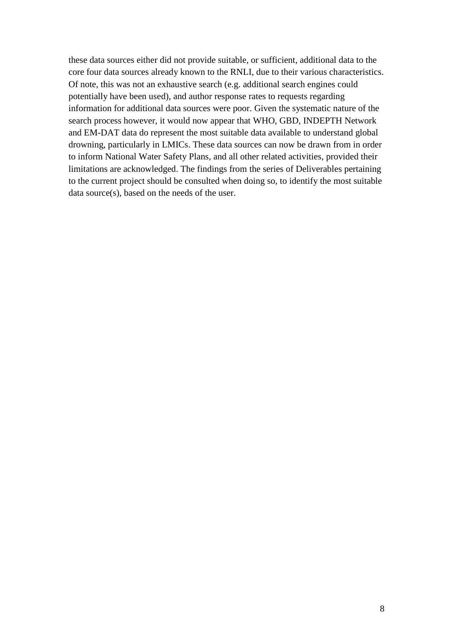these data sources either did not provide suitable, or sufficient, additional data to the core four data sources already known to the RNLI, due to their various characteristics. Of note, this was not an exhaustive search (e.g. additional search engines could potentially have been used), and author response rates to requests regarding information for additional data sources were poor. Given the systematic nature of the search process however, it would now appear that WHO, GBD, INDEPTH Network and EM-DAT data do represent the most suitable data available to understand global drowning, particularly in LMICs. These data sources can now be drawn from in order to inform National Water Safety Plans, and all other related activities, provided their limitations are acknowledged. The findings from the series of Deliverables pertaining to the current project should be consulted when doing so, to identify the most suitable data source(s), based on the needs of the user.